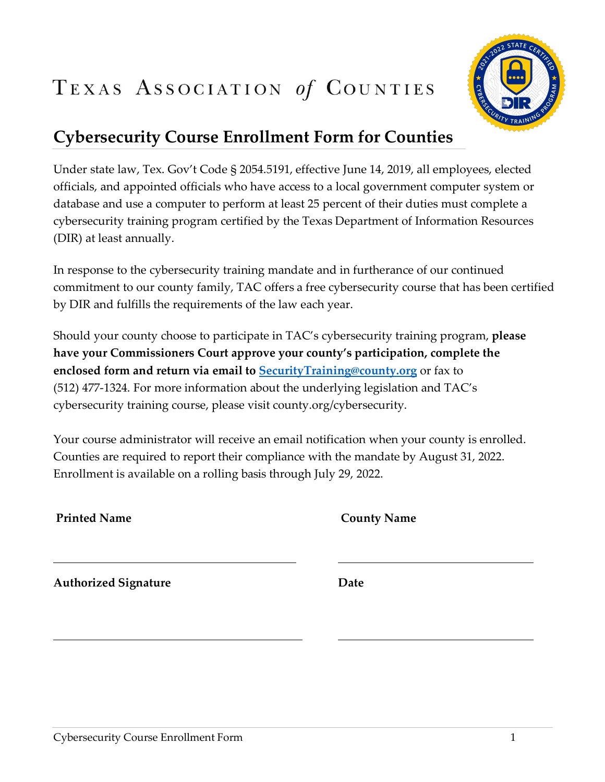## TEXAS ASSOCIATION of COUNTIES



## **Cybersecurity Course Enrollment Form for Counties**

Under state law, Tex. Gov't Code § 2054.5191, effective June 14, 2019, all employees, elected officials, and appointed officials who have access to a local government computer system or database and use a computer to perform at least 25 percent of their duties must complete a cybersecurity training program certified by the Texas Department of Information Resources (DIR) at least annually.

In response to the cybersecurity training mandate and in furtherance of our continued commitment to our county family, TAC offers a free cybersecurity course that has been certified by DIR and fulfills the requirements of the law each year.

Should your county choose to participate in TAC's cybersecurity training program, **please have your Commissioners Court approve your county's participation, complete the enclosed form and return via email to [SecurityTraining@county.org](mailto:SecurityTraining@county.org)** or fax to (512) 477-1324. For more information about the underlying legislation and TAC's cybersecurity training course, please visit county.org/cybersecurity.

Your course administrator will receive an email notification when your county is enrolled. Counties are required to report their compliance with the mandate by August 31, 2022. Enrollment is available on a rolling basis through July 29, 2022.

| <b>Printed Name</b> |  |
|---------------------|--|
|---------------------|--|

**County Name** 

**Authorized Signature Date**